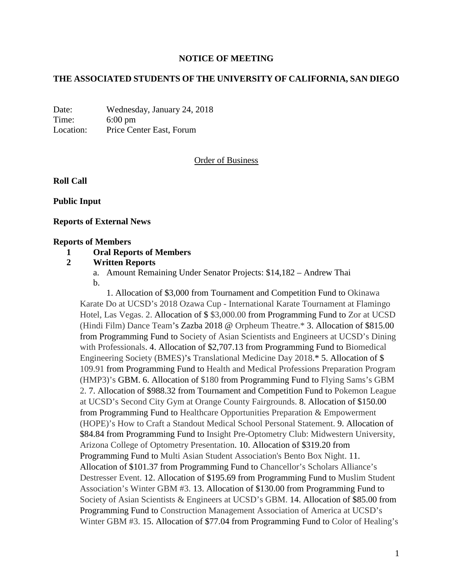# **NOTICE OF MEETING**

#### **THE ASSOCIATED STUDENTS OF THE UNIVERSITY OF CALIFORNIA, SAN DIEGO**

Date: Wednesday, January 24, 2018 Time: 6:00 pm Location: Price Center East, Forum

#### Order of Business

**Roll Call**

**Public Input**

**Reports of External News**

#### **Reports of Members**

#### **1 Oral Reports of Members**

- **2 Written Reports**
	- a. Amount Remaining Under Senator Projects: \$14,182 Andrew Thai b.

1. Allocation of \$3,000 from Tournament and Competition Fund to Okinawa Karate Do at UCSD's 2018 Ozawa Cup - International Karate Tournament at Flamingo Hotel, Las Vegas. 2. Allocation of \$ \$3,000.00 from Programming Fund to Zor at UCSD (Hindi Film) Dance Team's Zazba 2018 @ Orpheum Theatre.\* 3. Allocation of \$815.00 from Programming Fund to Society of Asian Scientists and Engineers at UCSD's Dining with Professionals. 4. Allocation of \$2,707.13 from Programming Fund to Biomedical Engineering Society (BMES)'s Translational Medicine Day 2018.\* 5. Allocation of \$ 109.91 from Programming Fund to Health and Medical Professions Preparation Program (HMP3)'s GBM. 6. Allocation of \$180 from Programming Fund to Flying Sams's GBM 2. 7. Allocation of \$988.32 from Tournament and Competition Fund to Pokemon League at UCSD's Second City Gym at Orange County Fairgrounds. 8. Allocation of \$150.00 from Programming Fund to Healthcare Opportunities Preparation & Empowerment (HOPE)'s How to Craft a Standout Medical School Personal Statement. 9. Allocation of \$84.84 from Programming Fund to Insight Pre-Optometry Club: Midwestern University, Arizona College of Optometry Presentation. 10. Allocation of \$319.20 from Programming Fund to Multi Asian Student Association's Bento Box Night. 11. Allocation of \$101.37 from Programming Fund to Chancellor's Scholars Alliance's Destresser Event. 12. Allocation of \$195.69 from Programming Fund to Muslim Student Association's Winter GBM #3. 13. Allocation of \$130.00 from Programming Fund to Society of Asian Scientists & Engineers at UCSD's GBM. 14. Allocation of \$85.00 from Programming Fund to Construction Management Association of America at UCSD's Winter GBM #3. 15. Allocation of \$77.04 from Programming Fund to Color of Healing's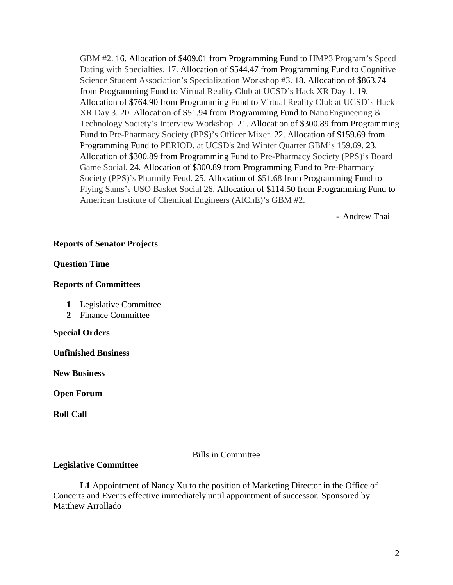GBM #2. 16. Allocation of \$409.01 from Programming Fund to HMP3 Program's Speed Dating with Specialties. 17. Allocation of \$544.47 from Programming Fund to Cognitive Science Student Association's Specialization Workshop #3. 18. Allocation of \$863.74 from Programming Fund to Virtual Reality Club at UCSD's Hack XR Day 1. 19. Allocation of \$764.90 from Programming Fund to Virtual Reality Club at UCSD's Hack XR Day 3. 20. Allocation of \$51.94 from Programming Fund to NanoEngineering & Technology Society's Interview Workshop. 21. Allocation of \$300.89 from Programming Fund to Pre-Pharmacy Society (PPS)'s Officer Mixer. 22. Allocation of \$159.69 from Programming Fund to PERIOD. at UCSD's 2nd Winter Quarter GBM's 159.69. 23. Allocation of \$300.89 from Programming Fund to Pre-Pharmacy Society (PPS)'s Board Game Social. 24. Allocation of \$300.89 from Programming Fund to Pre-Pharmacy Society (PPS)'s Pharmily Feud. 25. Allocation of \$51.68 from Programming Fund to Flying Sams's USO Basket Social 26. Allocation of \$114.50 from Programming Fund to American Institute of Chemical Engineers (AIChE)'s GBM #2.

- Andrew Thai

# **Reports of Senator Projects**

# **Question Time**

# **Reports of Committees**

- **1** Legislative Committee
- **2** Finance Committee

#### **Special Orders**

**Unfinished Business**

**New Business**

**Open Forum**

**Roll Call**

# Bills in Committee

# **Legislative Committee**

**L1** Appointment of Nancy Xu to the position of Marketing Director in the Office of Concerts and Events effective immediately until appointment of successor. Sponsored by Matthew Arrollado